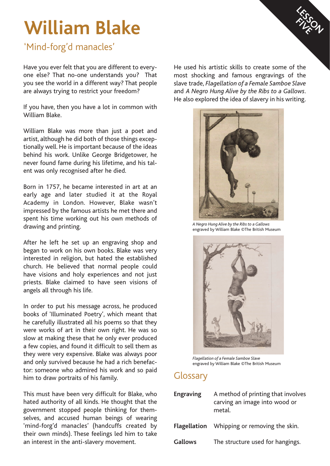# **William Blake**

## 'Mind-forg'd manacles'

Have you ever felt that you are different to everyone else? That no-one understands you? That you see the world in a different way? That people are always trying to restrict your freedom?

If you have, then you have a lot in common with William Blake.

William Blake was more than just a poet and artist, although he did both of those things exceptionally well. He is important because of the ideas behind his work. Unlike George Bridgetower, he never found fame during his lifetime, and his talent was only recognised after he died.

Born in 1757, he became interested in art at an early age and later studied it at the Royal Academy in London. However, Blake wasn't impressed by the famous artists he met there and spent his time working out his own methods of drawing and printing.

After he left he set up an engraving shop and began to work on his own books. Blake was very interested in religion, but hated the established church. He believed that normal people could have visions and holy experiences and not just priests. Blake claimed to have seen visions of angels all through his life.

In order to put his message across, he produced books of 'Illuminated Poetry', which meant that he carefully illustrated all his poems so that they were works of art in their own right. He was so slow at making these that he only ever produced a few copies, and found it difficult to sell them as they were very expensive. Blake was always poor and only survived because he had a rich benefactor: someone who admired his work and so paid him to draw portraits of his family.

This must have been very difficult for Blake, who hated authority of all kinds. He thought that the government stopped people thinking for themselves, and accused human beings of wearing 'mind-forg'd manacles' (handcuffs created by their own minds). These feelings led him to take an interest in the anti-slavery movement.

He used his artistic skills to create some of the most shocking and famous engravings of the slave trade, *Flagellation of a Female Samboe Slave* and *A Negro Hung Alive by the Ribs to a Gallows*. He also explored the idea of slavery in his writing.

**LESSON FIVE** 



*A Negro Hung Alive by the Ribs to a Gallows*  engraved by William Blake ©The British Museum



*Flagellation of a Female Samboe Slave*  engraved by William Blake ©The British Museum

## **Glossary**

| <b>Engraving</b> | A method of printing that involves<br>carving an image into wood or<br>metal. |
|------------------|-------------------------------------------------------------------------------|
|                  | <b>Flagellation</b> Whipping or removing the skin.                            |
| <b>Gallows</b>   | The structure used for hangings.                                              |